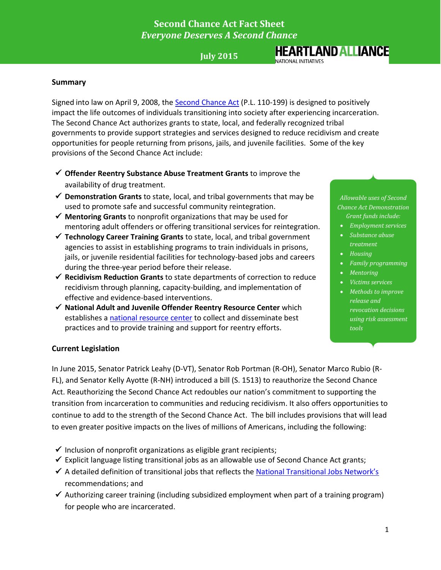## **Second Chance Act Fact Sheet** *Everyone Deserves A Second Chance*

## **July 2015**

# **HEARTLAND ALLIANCE**

NATIONAL INITIATIVES

#### **Summary**

Signed into law on April 9, 2008, the [Second Chance Act](http://www.fedcure.org/documents/SecondChanceAct-of-2007PubLaw110-199.pdf) (P.L. 110-199) is designed to positively impact the life outcomes of individuals transitioning into society after experiencing incarceration. The Second Chance Act authorizes grants to state, local, and federally recognized tribal governments to provide support strategies and services designed to reduce recidivism and create opportunities for people returning from prisons, jails, and juvenile facilities. Some of the key provisions of the Second Chance Act include:

- **Offender Reentry Substance Abuse Treatment Grants** to improve the availability of drug treatment.
- **Demonstration Grants** to state, local, and tribal governments that may be used to promote safe and successful community reintegration.
- **Mentoring Grants** to nonprofit organizations that may be used for mentoring adult offenders or offering transitional services for reintegration.
- **Technology Career Training Grants** to state, local, and tribal government agencies to assist in establishing programs to train individuals in prisons, jails, or juvenile residential facilities for technology-based jobs and careers during the three-year period before their release.
- **Recidivism Reduction Grants** to state departments of correction to reduce recidivism through planning, capacity-building, and implementation of effective and evidence-based interventions.
- **National Adult and Juvenile Offender Reentry Resource Center** which establishes a [national resource center](http://www.nationalreentryresourcecenter.org/) to collect and disseminate best practices and to provide training and support for reentry efforts.

*Allowable uses of Second Chance Act Demonstration Grant funds include:*

- *Employment services*
- *Substance abuse treatment*
- *Housing*
- *Family programming*
- *Mentoring*
- *Victims services*
- *Methods to improve release and revocation decisions using risk assessment tools*

#### **Current Legislation**

In June 2015, Senator Patrick Leahy (D-VT), Senator Rob Portman (R-OH), Senator Marco Rubio (R-FL), and Senator Kelly Ayotte (R-NH) introduced a bill (S. 1513) to reauthorize the Second Chance Act. Reauthorizing the Second Chance Act redoubles our nation's commitment to supporting the transition from incarceration to communities and reducing recidivism. It also offers opportunities to continue to add to the strength of the Second Chance Act. The bill includes provisions that will lead to even greater positive impacts on the lives of millions of Americans, including the following:

- $\checkmark$  Inclusion of nonprofit organizations as eligible grant recipients;
- $\checkmark$  Explicit language listing transitional jobs as an allowable use of Second Chance Act grants;
- $\checkmark$  A detailed definition of transitional jobs that reflects the [National Transitional Jobs Network's](http://www.transitionaljobs.net/) recommendations; and
- $\checkmark$  Authorizing career training (including subsidized employment when part of a training program) for people who are incarcerated.